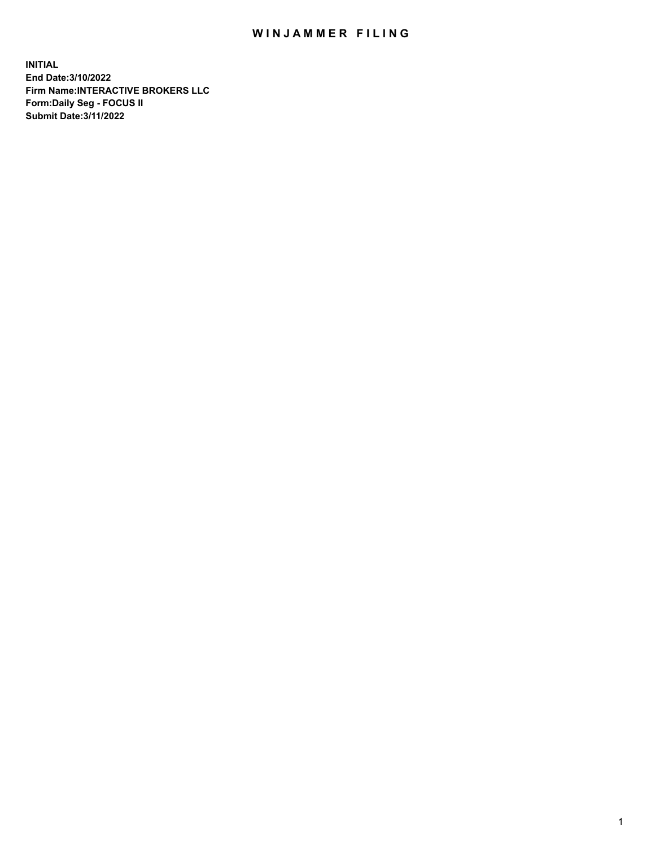## WIN JAMMER FILING

**INITIAL End Date:3/10/2022 Firm Name:INTERACTIVE BROKERS LLC Form:Daily Seg - FOCUS II Submit Date:3/11/2022**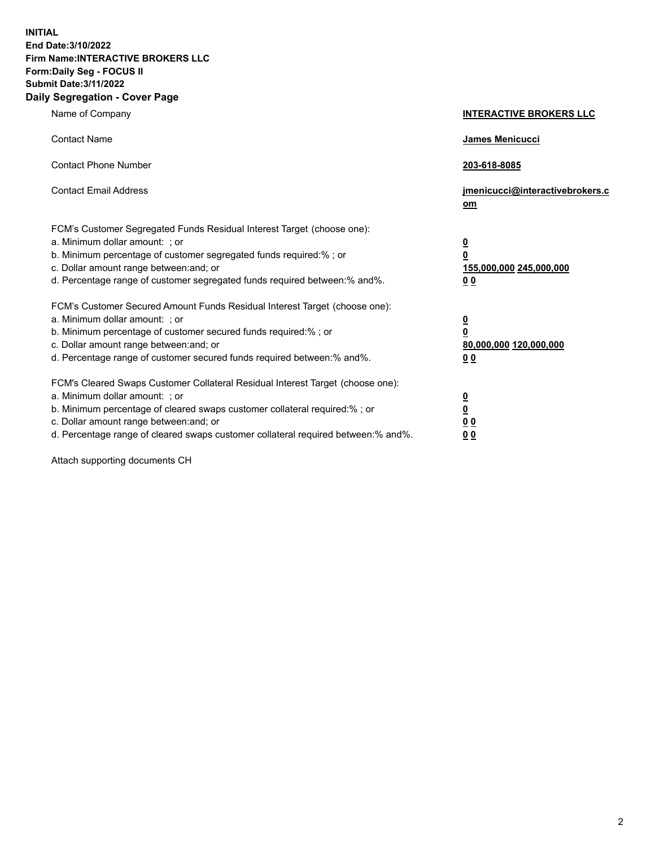**INITIAL End Date:3/10/2022 Firm Name:INTERACTIVE BROKERS LLC Form:Daily Seg - FOCUS II Submit Date:3/11/2022 Daily Segregation - Cover Page**

| Name of Company                                                                                                                                                                                                                                                                                                                | <b>INTERACTIVE BROKERS LLC</b>                                                                  |
|--------------------------------------------------------------------------------------------------------------------------------------------------------------------------------------------------------------------------------------------------------------------------------------------------------------------------------|-------------------------------------------------------------------------------------------------|
| <b>Contact Name</b>                                                                                                                                                                                                                                                                                                            | <b>James Menicucci</b>                                                                          |
| <b>Contact Phone Number</b>                                                                                                                                                                                                                                                                                                    | 203-618-8085                                                                                    |
| <b>Contact Email Address</b>                                                                                                                                                                                                                                                                                                   | jmenicucci@interactivebrokers.c<br>om                                                           |
| FCM's Customer Segregated Funds Residual Interest Target (choose one):<br>a. Minimum dollar amount: ; or<br>b. Minimum percentage of customer segregated funds required:%; or<br>c. Dollar amount range between: and; or<br>d. Percentage range of customer segregated funds required between:% and%.                          | $\overline{\mathbf{0}}$<br>$\overline{\mathbf{0}}$<br>155,000,000 245,000,000<br>0 <sub>0</sub> |
| FCM's Customer Secured Amount Funds Residual Interest Target (choose one):<br>a. Minimum dollar amount: ; or<br>b. Minimum percentage of customer secured funds required:%; or<br>c. Dollar amount range between: and; or<br>d. Percentage range of customer secured funds required between:% and%.                            | <u>0</u><br>$\overline{\mathbf{0}}$<br>80,000,000 120,000,000<br>0 <sub>0</sub>                 |
| FCM's Cleared Swaps Customer Collateral Residual Interest Target (choose one):<br>a. Minimum dollar amount: ; or<br>b. Minimum percentage of cleared swaps customer collateral required:% ; or<br>c. Dollar amount range between: and; or<br>d. Percentage range of cleared swaps customer collateral required between:% and%. | $\overline{\mathbf{0}}$<br>$\underline{\mathbf{0}}$<br>0 <sub>0</sub><br>00                     |

Attach supporting documents CH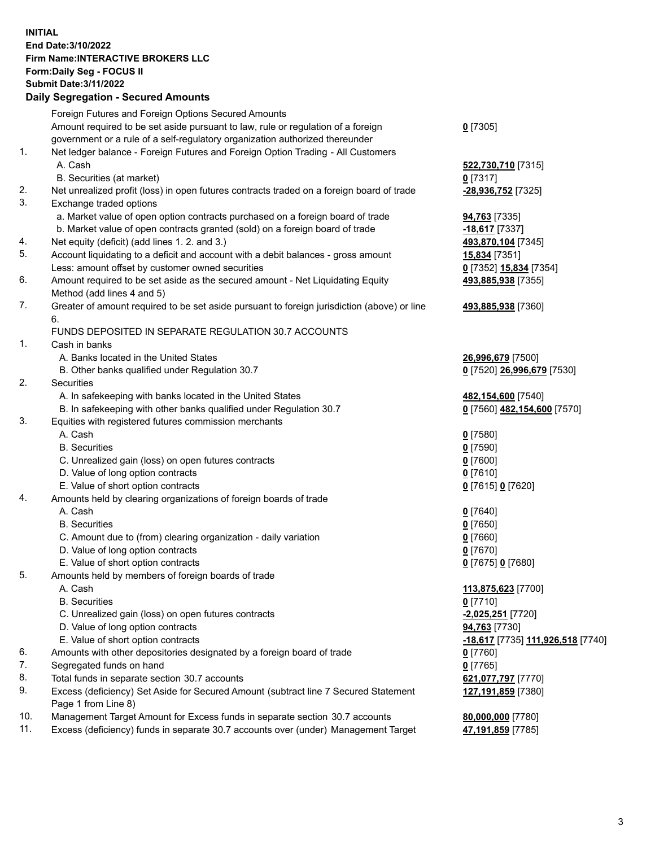**INITIAL End Date:3/10/2022 Firm Name:INTERACTIVE BROKERS LLC Form:Daily Seg - FOCUS II Submit Date:3/11/2022 Daily Segregation - Secured Amounts**

|                | Daily Jegregation - Jeculed Aniounts                                                                       |                                                       |
|----------------|------------------------------------------------------------------------------------------------------------|-------------------------------------------------------|
|                | Foreign Futures and Foreign Options Secured Amounts                                                        |                                                       |
|                | Amount required to be set aside pursuant to law, rule or regulation of a foreign                           | $0$ [7305]                                            |
|                | government or a rule of a self-regulatory organization authorized thereunder                               |                                                       |
| $\mathbf{1}$ . | Net ledger balance - Foreign Futures and Foreign Option Trading - All Customers                            |                                                       |
|                | A. Cash                                                                                                    | 522,730,710 [7315]                                    |
|                | B. Securities (at market)                                                                                  | 0 [7317]                                              |
| 2.             | Net unrealized profit (loss) in open futures contracts traded on a foreign board of trade                  | -28,936,752 [7325]                                    |
| 3.             | Exchange traded options                                                                                    |                                                       |
|                | a. Market value of open option contracts purchased on a foreign board of trade                             | <b>94,763</b> [7335]                                  |
|                | b. Market value of open contracts granted (sold) on a foreign board of trade                               | $-18,617$ [7337]                                      |
| 4.             | Net equity (deficit) (add lines 1. 2. and 3.)                                                              | 493,870,104 [7345]                                    |
| 5.             | Account liquidating to a deficit and account with a debit balances - gross amount                          | 15,834 [7351]                                         |
|                | Less: amount offset by customer owned securities                                                           | 0 [7352] 15,834 [7354]                                |
| 6.             | Amount required to be set aside as the secured amount - Net Liquidating Equity                             | 493,885,938 [7355]                                    |
|                | Method (add lines 4 and 5)                                                                                 |                                                       |
| 7.             | Greater of amount required to be set aside pursuant to foreign jurisdiction (above) or line                | 493,885,938 [7360]                                    |
|                | 6.                                                                                                         |                                                       |
|                | FUNDS DEPOSITED IN SEPARATE REGULATION 30.7 ACCOUNTS                                                       |                                                       |
| 1.             | Cash in banks                                                                                              |                                                       |
|                | A. Banks located in the United States                                                                      | 26,996,679 [7500]                                     |
|                | B. Other banks qualified under Regulation 30.7                                                             | 0 [7520] 26,996,679 [7530]                            |
| 2.             | Securities                                                                                                 |                                                       |
|                | A. In safekeeping with banks located in the United States                                                  | 482,154,600 [7540]                                    |
|                | B. In safekeeping with other banks qualified under Regulation 30.7                                         | 0 [7560] 482,154,600 [7570]                           |
| 3.             | Equities with registered futures commission merchants                                                      |                                                       |
|                | A. Cash                                                                                                    | $0$ [7580]                                            |
|                | <b>B.</b> Securities                                                                                       | $0$ [7590]                                            |
|                | C. Unrealized gain (loss) on open futures contracts                                                        | $0$ [7600]                                            |
|                | D. Value of long option contracts                                                                          | $0$ [7610]                                            |
|                | E. Value of short option contracts                                                                         | 0 [7615] 0 [7620]                                     |
| 4.             | Amounts held by clearing organizations of foreign boards of trade                                          |                                                       |
|                | A. Cash                                                                                                    | $0$ [7640]                                            |
|                | <b>B.</b> Securities                                                                                       | $0$ [7650]                                            |
|                | C. Amount due to (from) clearing organization - daily variation                                            | $0$ [7660]                                            |
|                | D. Value of long option contracts                                                                          | $0$ [7670]                                            |
|                | E. Value of short option contracts                                                                         | 0 [7675] 0 [7680]                                     |
| 5.             | Amounts held by members of foreign boards of trade                                                         |                                                       |
|                | A. Cash                                                                                                    | 113,875,623 [7700]                                    |
|                | <b>B.</b> Securities                                                                                       | $0$ [7710]                                            |
|                | C. Unrealized gain (loss) on open futures contracts                                                        | -2,025,251 [7720]                                     |
|                | D. Value of long option contracts                                                                          | 94,763 [7730]                                         |
|                | E. Value of short option contracts                                                                         | <mark>-18,617</mark> [7735] <u>111,926,518</u> [7740] |
| 6.             | Amounts with other depositories designated by a foreign board of trade                                     | 0 [7760]                                              |
| 7.<br>8.       | Segregated funds on hand                                                                                   | $0$ [7765]                                            |
|                | Total funds in separate section 30.7 accounts                                                              | 621,077,797 [7770]                                    |
| 9.             | Excess (deficiency) Set Aside for Secured Amount (subtract line 7 Secured Statement<br>Page 1 from Line 8) | 127,191,859 [7380]                                    |
| 10.            | Management Target Amount for Excess funds in separate section 30.7 accounts                                | 80,000,000 [7780]                                     |
| 11.            | Excess (deficiency) funds in separate 30.7 accounts over (under) Management Target                         | 47,191,859 [7785]                                     |
|                |                                                                                                            |                                                       |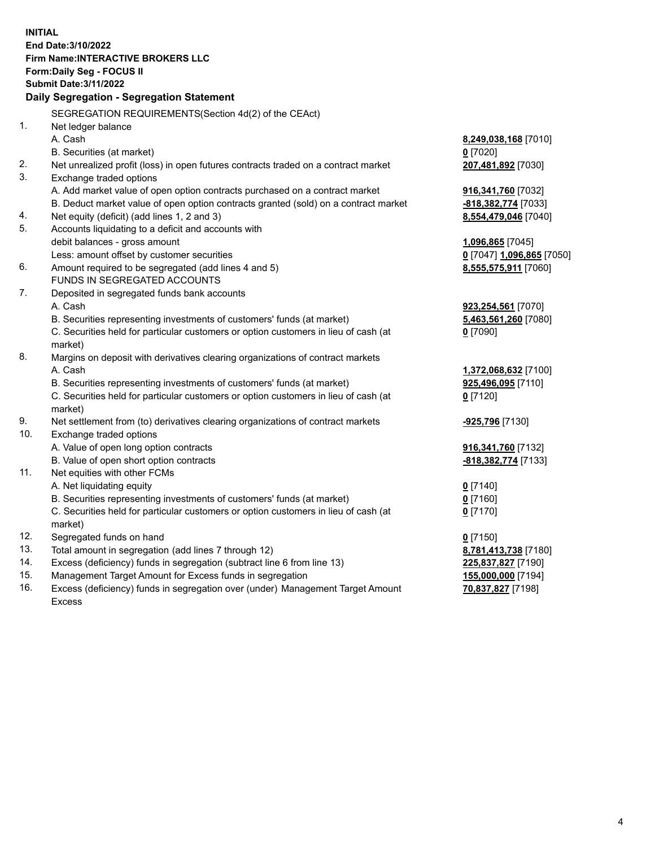**INITIAL End Date:3/10/2022 Firm Name:INTERACTIVE BROKERS LLC Form:Daily Seg - FOCUS II Submit Date:3/11/2022 Daily Segregation - Segregation Statement** SEGREGATION REQUIREMENTS(Section 4d(2) of the CEAct) 1. Net ledger balance A. Cash **8,249,038,168** [7010] B. Securities (at market) **0** [7020] 2. Net unrealized profit (loss) in open futures contracts traded on a contract market **207,481,892** [7030] 3. Exchange traded options A. Add market value of open option contracts purchased on a contract market **916,341,760** [7032] B. Deduct market value of open option contracts granted (sold) on a contract market **-818,382,774** [7033] 4. Net equity (deficit) (add lines 1, 2 and 3) **8,554,479,046** [7040] 5. Accounts liquidating to a deficit and accounts with debit balances - gross amount **1,096,865** [7045] Less: amount offset by customer securities **0** [7047] **1,096,865** [7050] 6. Amount required to be segregated (add lines 4 and 5) **8,555,575,911** [7060] FUNDS IN SEGREGATED ACCOUNTS 7. Deposited in segregated funds bank accounts A. Cash **923,254,561** [7070] B. Securities representing investments of customers' funds (at market) **5,463,561,260** [7080] C. Securities held for particular customers or option customers in lieu of cash (at market) **0** [7090] 8. Margins on deposit with derivatives clearing organizations of contract markets A. Cash **1,372,068,632** [7100] B. Securities representing investments of customers' funds (at market) **925,496,095** [7110] C. Securities held for particular customers or option customers in lieu of cash (at market) **0** [7120] 9. Net settlement from (to) derivatives clearing organizations of contract markets **-925,796** [7130] 10. Exchange traded options A. Value of open long option contracts **916,341,760** [7132] B. Value of open short option contracts **-818,382,774** [7133] 11. Net equities with other FCMs A. Net liquidating equity **0** [7140] B. Securities representing investments of customers' funds (at market) **0** [7160] C. Securities held for particular customers or option customers in lieu of cash (at market) **0** [7170] 12. Segregated funds on hand **0** [7150] 13. Total amount in segregation (add lines 7 through 12) **8,781,413,738** [7180] 14. Excess (deficiency) funds in segregation (subtract line 6 from line 13) **225,837,827** [7190] 15. Management Target Amount for Excess funds in segregation **155,000,000** [7194]

16. Excess (deficiency) funds in segregation over (under) Management Target Amount Excess

**70,837,827** [7198]